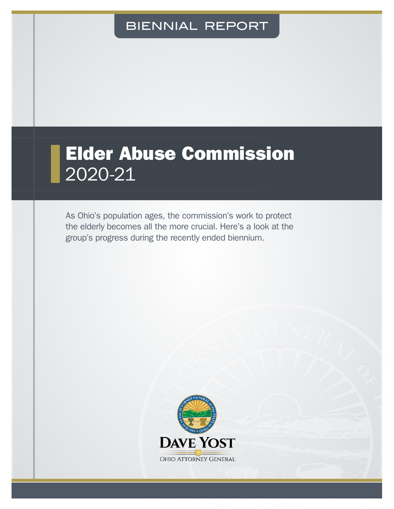## BIENNIAL REPORT

# Elder Abuse Commission 2020-21

As Ohio's population ages, the commission's work to protect the elderly becomes all the more crucial. Here's a look at the group's progress during the recently ended biennium.

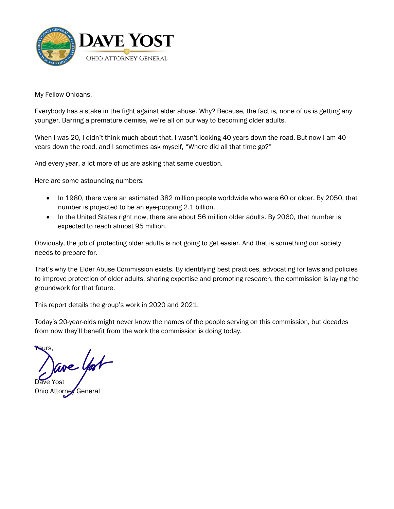

My Fellow Ohioans,

Everybody has a stake in the fight against elder abuse. Why? Because, the fact is, none of us is getting any younger. Barring a premature demise, we're all on our way to becoming older adults.

When I was 20, I didn't think much about that. I wasn't looking 40 years down the road. But now I am 40 years down the road, and I sometimes ask myself, "Where did all that time go?"

And every year, a lot more of us are asking that same question.

Here are some astounding numbers:

- In 1980, there were an estimated 382 million people worldwide who were 60 or older. By 2050, that number is projected to be an eye-popping 2.1 billion.
- In the United States right now, there are about 56 million older adults. By 2060, that number is expected to reach almost 95 million.

Obviously, the job of protecting older adults is not going to get easier. And that is something our society needs to prepare for.

That's why the Elder Abuse Commission exists. By identifying best practices, advocating for laws and policies to improve protection of older adults, sharing expertise and promoting research, the commission is laying the groundwork for that future.

This report details the group's work in 2020 and 2021.

Today's 20-year-olds might never know the names of the people serving on this commission, but decades from now they'll benefit from the work the commission is doing today.

Yours,

Dave Yost Ohio Attorney General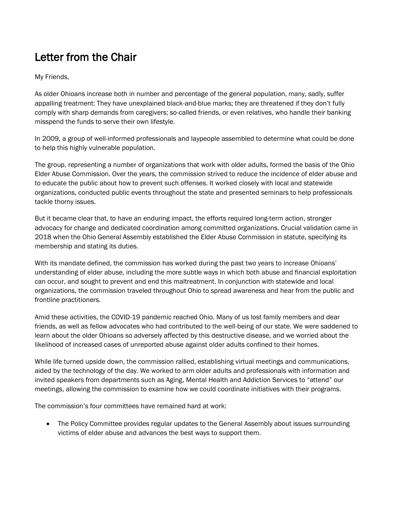### Letter from the Chair

#### My Friends,

As older Ohioans increase both in number and percentage of the general population, many, sadly, suffer appalling treatment: They have unexplained black-and-blue marks; they are threatened if they don't fully comply with sharp demands from caregivers; so-called friends, or even relatives, who handle their banking misspend the funds to serve their own lifestyle.

In 2009, a group of well-informed professionals and laypeople assembled to determine what could be done to help this highly vulnerable population.

The group, representing a number of organizations that work with older adults, formed the basis of the Ohio Elder Abuse Commission. Over the years, the commission strived to reduce the incidence of elder abuse and to educate the public about how to prevent such offenses. It worked closely with local and statewide organizations, conducted public events throughout the state and presented seminars to help professionals tackle thorny issues.

But it became clear that, to have an enduring impact, the efforts required long-term action, stronger advocacy for change and dedicated coordination among committed organizations. Crucial validation came in 2018 when the Ohio General Assembly established the Elder Abuse Commission in statute, specifying its membership and stating its duties.

With its mandate defined, the commission has worked during the past two years to increase Ohioans' understanding of elder abuse, including the more subtle ways in which both abuse and financial exploitation can occur, and sought to prevent and end this maltreatment. In conjunction with statewide and local organizations, the commission traveled throughout Ohio to spread awareness and hear from the public and frontline practitioners.

Amid these activities, the COVID-19 pandemic reached Ohio. Many of us lost family members and dear friends, as well as fellow advocates who had contributed to the well-being of our state. We were saddened to learn about the older Ohioans so adversely affected by this destructive disease, and we worried about the likelihood of increased cases of unreported abuse against older adults confined to their homes.

While life turned upside down, the commission rallied, establishing virtual meetings and communications, aided by the technology of the day. We worked to arm older adults and professionals with information and invited speakers from departments such as Aging, Mental Health and Addiction Services to "attend" our meetings, allowing the commission to examine how we could coordinate initiatives with their programs.

The commission's four committees have remained hard at work:

• The Policy Committee provides regular updates to the General Assembly about issues surrounding victims of elder abuse and advances the best ways to support them.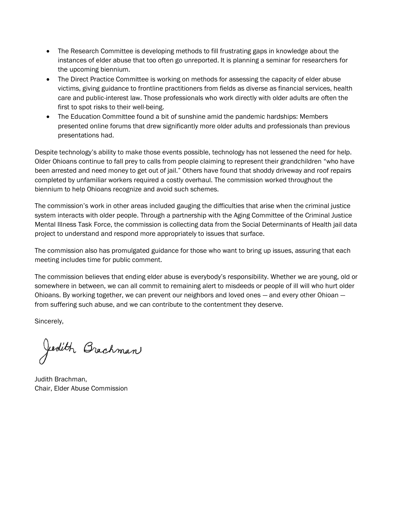- The Research Committee is developing methods to fill frustrating gaps in knowledge about the instances of elder abuse that too often go unreported. It is planning a seminar for researchers for the upcoming biennium.
- The Direct Practice Committee is working on methods for assessing the capacity of elder abuse victims, giving guidance to frontline practitioners from fields as diverse as financial services, health care and public-interest law. Those professionals who work directly with older adults are often the first to spot risks to their well-being.
- The Education Committee found a bit of sunshine amid the pandemic hardships: Members presented online forums that drew significantly more older adults and professionals than previous presentations had.

Despite technology's ability to make those events possible, technology has not lessened the need for help. Older Ohioans continue to fall prey to calls from people claiming to represent their grandchildren "who have been arrested and need money to get out of jail." Others have found that shoddy driveway and roof repairs completed by unfamiliar workers required a costly overhaul. The commission worked throughout the biennium to help Ohioans recognize and avoid such schemes.

The commission's work in other areas included gauging the difficulties that arise when the criminal justice system interacts with older people. Through a partnership with the Aging Committee of the Criminal Justice Mental Illness Task Force, the commission is collecting data from the Social Determinants of Health jail data project to understand and respond more appropriately to issues that surface.

The commission also has promulgated guidance for those who want to bring up issues, assuring that each meeting includes time for public comment.

The commission believes that ending elder abuse is everybody's responsibility. Whether we are young, old or somewhere in between, we can all commit to remaining alert to misdeeds or people of ill will who hurt older Ohioans. By working together, we can prevent our neighbors and loved ones — and every other Ohioan from suffering such abuse, and we can contribute to the contentment they deserve.

Sincerely,

Jiedith Brachman

Judith Brachman, Chair, Elder Abuse Commission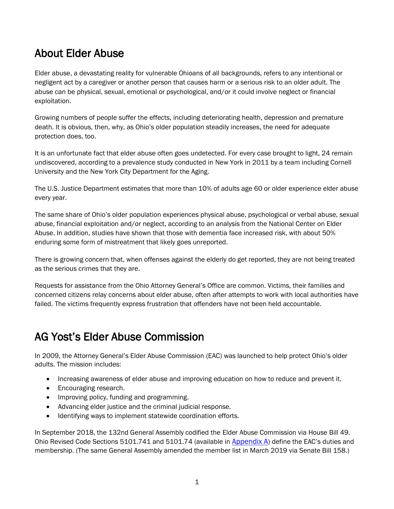### About Elder Abuse

Elder abuse, a devastating reality for vulnerable Ohioans of all backgrounds, refers to any intentional or negligent act by a caregiver or another person that causes harm or a serious risk to an older adult. The abuse can be physical, sexual, emotional or psychological, and/or it could involve neglect or financial exploitation.

Growing numbers of people suffer the effects, including deteriorating health, depression and premature death. It is obvious, then, why, as Ohio's older population steadily increases, the need for adequate protection does, too.

It is an unfortunate fact that elder abuse often goes undetected. For every case brought to light, 24 remain undiscovered, according to a prevalence study conducted in New York in 2011 by a team including Cornell University and the New York City Department for the Aging.

The U.S. Justice Department estimates that more than 10% of adults age 60 or older experience elder abuse every year.

The same share of Ohio's older population experiences physical abuse, psychological or verbal abuse, sexual abuse, financial exploitation and/or neglect, according to an analysis from the National Center on Elder Abuse. In addition, studies have shown that those with dementia face increased risk, with about 50% enduring some form of mistreatment that likely goes unreported.

There is growing concern that, when offenses against the elderly do get reported, they are not being treated as the serious crimes that they are.

Requests for assistance from the Ohio Attorney General's Office are common. Victims, their families and concerned citizens relay concerns about elder abuse, often after attempts to work with local authorities have failed. The victims frequently express frustration that offenders have not been held accountable.

### AG Yost's Elder Abuse Commission

In 2009, the Attorney General's Elder Abuse Commission (EAC) was launched to help protect Ohio's older adults. The mission includes:

- Increasing awareness of elder abuse and improving education on how to reduce and prevent it.
- Encouraging research.
- Improving policy, funding and programming.
- Advancing elder justice and the criminal judicial response.
- Identifying ways to implement statewide coordination efforts.

In September 2018, the 132nd General Assembly codified the Elder Abuse Commission via House Bill 49. Ohio Revised Code Sections 5101.741 and 5101.74 (available in [Appendix A](#page--1-0)) define the EAC's duties and membership. (The same General Assembly amended the member list in March 2019 via Senate Bill 158.)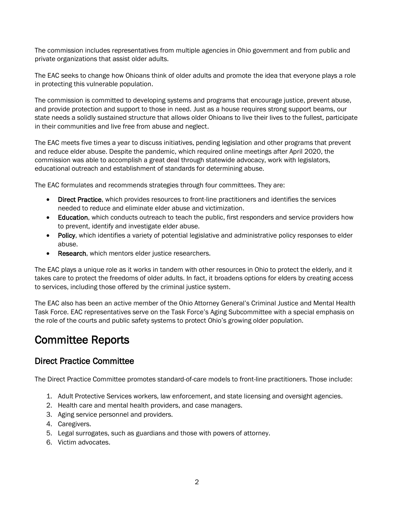The commission includes representatives from multiple agencies in Ohio government and from public and private organizations that assist older adults.

The EAC seeks to change how Ohioans think of older adults and promote the idea that everyone plays a role in protecting this vulnerable population.

The commission is committed to developing systems and programs that encourage justice, prevent abuse, and provide protection and support to those in need. Just as a house requires strong support beams, our state needs a solidly sustained structure that allows older Ohioans to live their lives to the fullest, participate in their communities and live free from abuse and neglect.

The EAC meets five times a year to discuss initiatives, pending legislation and other programs that prevent and reduce elder abuse. Despite the pandemic, which required online meetings after April 2020, the commission was able to accomplish a great deal through statewide advocacy, work with legislators, educational outreach and establishment of standards for determining abuse.

The EAC formulates and recommends strategies through four committees. They are:

- Direct Practice, which provides resources to front-line practitioners and identifies the services needed to reduce and eliminate elder abuse and victimization.
- Education, which conducts outreach to teach the public, first responders and service providers how to prevent, identify and investigate elder abuse.
- Policy, which identifies a variety of potential legislative and administrative policy responses to elder abuse.
- Research, which mentors elder justice researchers.

The EAC plays a unique role as it works in tandem with other resources in Ohio to protect the elderly, and it takes care to protect the freedoms of older adults. In fact, it broadens options for elders by creating access to services, including those offered by the criminal justice system.

The EAC also has been an active member of the Ohio Attorney General's Criminal Justice and Mental Health Task Force. EAC representatives serve on the Task Force's Aging Subcommittee with a special emphasis on the role of the courts and public safety systems to protect Ohio's growing older population.

### Committee Reports

#### Direct Practice Committee

The Direct Practice Committee promotes standard-of-care models to front-line practitioners. Those include:

- 1. Adult Protective Services workers, law enforcement, and state licensing and oversight agencies.
- 2. Health care and mental health providers, and case managers.
- 3. Aging service personnel and providers.
- 4. Caregivers.
- 5. Legal surrogates, such as guardians and those with powers of attorney.
- 6. Victim advocates.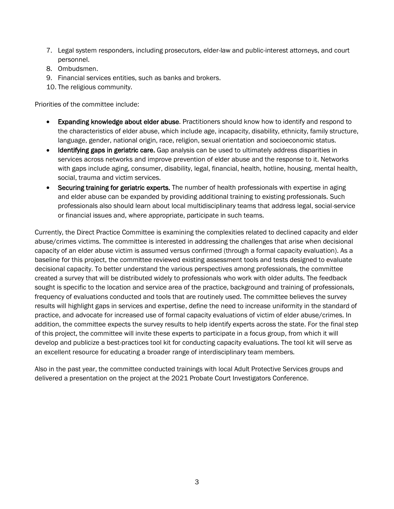- 7. Legal system responders, including prosecutors, elder-law and public-interest attorneys, and court personnel.
- 8. Ombudsmen.
- 9. Financial services entities, such as banks and brokers.
- 10. The religious community.

Priorities of the committee include:

- **Expanding knowledge about elder abuse.** Practitioners should know how to identify and respond to the characteristics of elder abuse, which include age, incapacity, disability, ethnicity, family structure, language, gender, national origin, race, religion, sexual orientation and socioeconomic status.
- Identifying gaps in geriatric care. Gap analysis can be used to ultimately address disparities in services across networks and improve prevention of elder abuse and the response to it. Networks with gaps include aging, consumer, disability, legal, financial, health, hotline, housing, mental health, social, trauma and victim services.
- Securing training for geriatric experts. The number of health professionals with expertise in aging and elder abuse can be expanded by providing additional training to existing professionals. Such professionals also should learn about local multidisciplinary teams that address legal, social-service or financial issues and, where appropriate, participate in such teams.

Currently, the Direct Practice Committee is examining the complexities related to declined capacity and elder abuse/crimes victims. The committee is interested in addressing the challenges that arise when decisional capacity of an elder abuse victim is assumed versus confirmed (through a formal capacity evaluation). As a baseline for this project, the committee reviewed existing assessment tools and tests designed to evaluate decisional capacity. To better understand the various perspectives among professionals, the committee created a survey that will be distributed widely to professionals who work with older adults. The feedback sought is specific to the location and service area of the practice, background and training of professionals, frequency of evaluations conducted and tools that are routinely used. The committee believes the survey results will highlight gaps in services and expertise, define the need to increase uniformity in the standard of practice, and advocate for increased use of formal capacity evaluations of victim of elder abuse/crimes. In addition, the committee expects the survey results to help identify experts across the state. For the final step of this project, the committee will invite these experts to participate in a focus group, from which it will develop and publicize a best-practices tool kit for conducting capacity evaluations. The tool kit will serve as an excellent resource for educating a broader range of interdisciplinary team members.

Also in the past year, the committee conducted trainings with local Adult Protective Services groups and delivered a presentation on the project at the 2021 Probate Court Investigators Conference.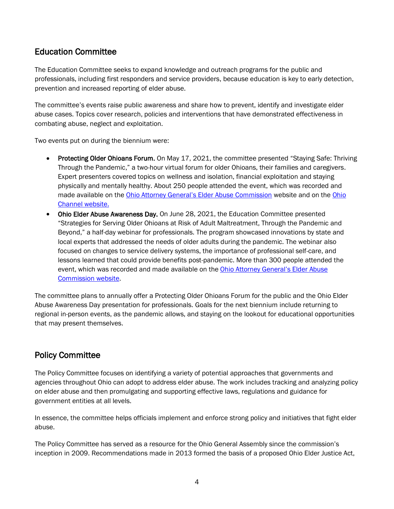#### Education Committee

The Education Committee seeks to expand knowledge and outreach programs for the public and professionals, including first responders and service providers, because education is key to early detection, prevention and increased reporting of elder abuse.

The committee's events raise public awareness and share how to prevent, identify and investigate elder abuse cases. Topics cover research, policies and interventions that have demonstrated effectiveness in combating abuse, neglect and exploitation.

Two events put on during the biennium were:

- Protecting Older Ohioans Forum. On May 17, 2021, the committee presented "Staying Safe: Thriving Through the Pandemic," a two-hour virtual forum for older Ohioans, their families and caregivers. Expert presenters covered topics on wellness and isolation, financial exploitation and staying physically and mentally healthy. About 250 people attended the event, which was recorded and made available on the [Ohio Attorney General's Elder Abuse Commission](https://www.ohioattorneygeneral.gov/Individuals-and-Families/Seniors/Elder-Abuse-Commission/Protecting-Older-Ohioans-Forum) website and on the Ohio [Channel website.](https://www.ohiochannel.org/video/attorney-general-dave-yost-elder-abuse-commission-staying-safe-thriving-through-the-pandemic)
- Ohio Elder Abuse Awareness Day. On June 28, 2021, the Education Committee presented "Strategies for Serving Older Ohioans at Risk of Adult Maltreatment, Through the Pandemic and Beyond," a half-day webinar for professionals. The program showcased innovations by state and local experts that addressed the needs of older adults during the pandemic. The webinar also focused on changes to service delivery systems, the importance of professional self-care, and lessons learned that could provide benefits post-pandemic. More than 300 people attended the event, which was recorded and made available on the [Ohio Attorney General's Elder Abuse](https://www.ohioattorneygeneral.gov/Individuals-and-Families/Seniors/Elder-Abuse-Commission/Elder-Abuse-Awareness-Day)  [Commission](https://www.ohioattorneygeneral.gov/Individuals-and-Families/Seniors/Elder-Abuse-Commission/Elder-Abuse-Awareness-Day) website.

The committee plans to annually offer a Protecting Older Ohioans Forum for the public and the Ohio Elder Abuse Awareness Day presentation for professionals. Goals for the next biennium include returning to regional in-person events, as the pandemic allows, and staying on the lookout for educational opportunities that may present themselves.

#### Policy Committee

The Policy Committee focuses on identifying a variety of potential approaches that governments and agencies throughout Ohio can adopt to address elder abuse. The work includes tracking and analyzing policy on elder abuse and then promulgating and supporting effective laws, regulations and guidance for government entities at all levels.

In essence, the committee helps officials implement and enforce strong policy and initiatives that fight elder abuse.

The Policy Committee has served as a resource for the Ohio General Assembly since the commission's inception in 2009. Recommendations made in 2013 formed the basis of a proposed Ohio Elder Justice Act,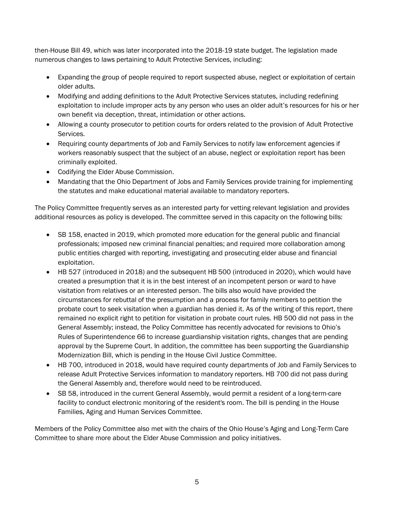then-House Bill 49, which was later incorporated into the 2018-19 state budget. The legislation made numerous changes to laws pertaining to Adult Protective Services, including:

- Expanding the group of people required to report suspected abuse, neglect or exploitation of certain older adults.
- Modifying and adding definitions to the Adult Protective Services statutes, including redefining exploitation to include improper acts by any person who uses an older adult's resources for his or her own benefit via deception, threat, intimidation or other actions.
- Allowing a county prosecutor to petition courts for orders related to the provision of Adult Protective Services.
- Requiring county departments of Job and Family Services to notify law enforcement agencies if workers reasonably suspect that the subject of an abuse, neglect or exploitation report has been criminally exploited.
- Codifying the Elder Abuse Commission.
- Mandating that the Ohio Department of Jobs and Family Services provide training for implementing the statutes and make educational material available to mandatory reporters.

The Policy Committee frequently serves as an interested party for vetting relevant legislation and provides additional resources as policy is developed. The committee served in this capacity on the following bills:

- SB 158, enacted in 2019, which promoted more education for the general public and financial professionals; imposed new criminal financial penalties; and required more collaboration among public entities charged with reporting, investigating and prosecuting elder abuse and financial exploitation.
- HB 527 (introduced in 2018) and the subsequent HB 500 (introduced in 2020), which would have created a presumption that it is in the best interest of an incompetent person or ward to have visitation from relatives or an interested person. The bills also would have provided the circumstances for rebuttal of the presumption and a process for family members to petition the probate court to seek visitation when a guardian has denied it. As of the writing of this report, there remained no explicit right to petition for visitation in probate court rules. HB 500 did not pass in the General Assembly; instead, the Policy Committee has recently advocated for revisions to Ohio's Rules of Superintendence 66 to increase guardianship visitation rights, changes that are pending approval by the Supreme Court. In addition, the committee has been supporting the Guardianship Modernization Bill, which is pending in the House Civil Justice Committee.
- HB 700, introduced in 2018, would have required county departments of Job and Family Services to release Adult Protective Services information to mandatory reporters. HB 700 did not pass during the General Assembly and, therefore would need to be reintroduced.
- SB 58, introduced in the current General Assembly, would permit a resident of a long-term-care facility to conduct electronic monitoring of the resident's room. The bill is pending in the House Families, Aging and Human Services Committee.

Members of the Policy Committee also met with the chairs of the Ohio House's Aging and Long-Term Care Committee to share more about the Elder Abuse Commission and policy initiatives.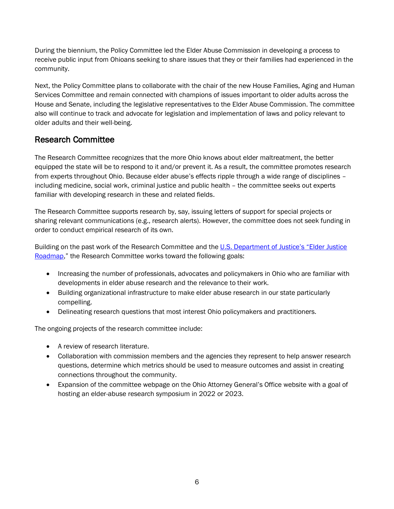During the biennium, the Policy Committee led the Elder Abuse Commission in developing a process to receive public input from Ohioans seeking to share issues that they or their families had experienced in the community.

Next, the Policy Committee plans to collaborate with the chair of the new House Families, Aging and Human Services Committee and remain connected with champions of issues important to older adults across the House and Senate, including the legislative representatives to the Elder Abuse Commission. The committee also will continue to track and advocate for legislation and implementation of laws and policy relevant to older adults and their well-being.

#### Research Committee

The Research Committee recognizes that the more Ohio knows about elder maltreatment, the better equipped the state will be to respond to it and/or prevent it. As a result, the committee promotes research from experts throughout Ohio. Because elder abuse's effects ripple through a wide range of disciplines – including medicine, social work, criminal justice and public health – the committee seeks out experts familiar with developing research in these and related fields.

The Research Committee supports research by, say, issuing letters of support for special projects or sharing relevant communications (e.g., research alerts). However, the committee does not seek funding in order to conduct empirical research of its own.

Building on the past work of the Research Committee and the U.S. [Department of Justice's "](https://www.justice.gov/file/852856/download)Elder Justice [Roadmap,](https://www.justice.gov/file/852856/download)" the Research Committee works toward the following goals:

- Increasing the number of professionals, advocates and policymakers in Ohio who are familiar with developments in elder abuse research and the relevance to their work.
- Building organizational infrastructure to make elder abuse research in our state particularly compelling.
- Delineating research questions that most interest Ohio policymakers and practitioners.

The ongoing projects of the research committee include:

- A review of research literature.
- Collaboration with commission members and the agencies they represent to help answer research questions, determine which metrics should be used to measure outcomes and assist in creating connections throughout the community.
- Expansion of the committee webpage on the Ohio Attorney General's Office website with a goal of hosting an elder-abuse research symposium in 2022 or 2023.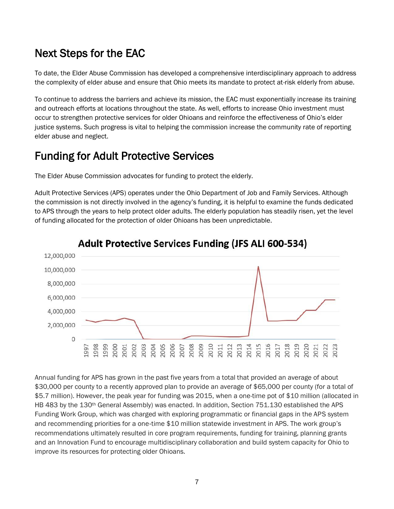### Next Steps for the EAC

To date, the Elder Abuse Commission has developed a comprehensive interdisciplinary approach to address the complexity of elder abuse and ensure that Ohio meets its mandate to protect at-risk elderly from abuse.

To continue to address the barriers and achieve its mission, the EAC must exponentially increase its training and outreach efforts at locations throughout the state. As well, efforts to increase Ohio investment must occur to strengthen protective services for older Ohioans and reinforce the effectiveness of Ohio's elder justice systems. Such progress is vital to helping the commission increase the community rate of reporting elder abuse and neglect.

### Funding for Adult Protective Services

The Elder Abuse Commission advocates for funding to protect the elderly.

Adult Protective Services (APS) operates under the Ohio Department of Job and Family Services. Although the commission is not directly involved in the agency's funding, it is helpful to examine the funds dedicated to APS through the years to help protect older adults. The elderly population has steadily risen, yet the level of funding allocated for the protection of older Ohioans has been unpredictable.



#### **Adult Protective Services Funding (JFS ALI 600-534)**

Annual funding for APS has grown in the past five years from a total that provided an average of about \$30,000 per county to a recently approved plan to provide an average of \$65,000 per county (for a total of \$5.7 million). However, the peak year for funding was 2015, when a one-time pot of \$10 million (allocated in HB 483 by the 130th General Assembly) was enacted. In addition, Section 751.130 established the APS Funding Work Group, which was charged with exploring programmatic or financial gaps in the APS system and recommending priorities for a one-time \$10 million statewide investment in APS. The work group's recommendations ultimately resulted in core program requirements, funding for training, planning grants and an Innovation Fund to encourage multidisciplinary collaboration and build system capacity for Ohio to improve its resources for protecting older Ohioans.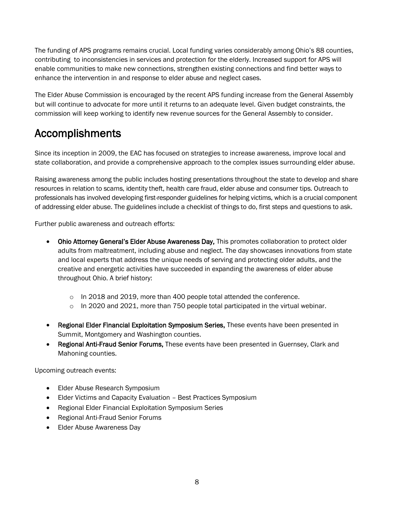The funding of APS programs remains crucial. Local funding varies considerably among Ohio's 88 counties, contributing to inconsistencies in services and protection for the elderly. Increased support for APS will enable communities to make new connections, strengthen existing connections and find better ways to enhance the intervention in and response to elder abuse and neglect cases.

The Elder Abuse Commission is encouraged by the recent APS funding increase from the General Assembly but will continue to advocate for more until it returns to an adequate level. Given budget constraints, the commission will keep working to identify new revenue sources for the General Assembly to consider.

### Accomplishments

Since its inception in 2009, the EAC has focused on strategies to increase awareness, improve local and state collaboration, and provide a comprehensive approach to the complex issues surrounding elder abuse.

Raising awareness among the public includes hosting presentations throughout the state to develop and share resources in relation to scams, identity theft, health care fraud, elder abuse and consumer tips. Outreach to professionals has involved developing first-responder guidelines for helping victims, which is a crucial component of addressing elder abuse. The guidelines include a checklist of things to do, first steps and questions to ask.

Further public awareness and outreach efforts:

- Ohio Attorney General's Elder Abuse Awareness Day, This promotes collaboration to protect older adults from maltreatment, including abuse and neglect. The day showcases innovations from state and local experts that address the unique needs of serving and protecting older adults, and the creative and energetic activities have succeeded in expanding the awareness of elder abuse throughout Ohio. A brief history:
	- o In 2018 and 2019, more than 400 people total attended the conference.
	- $\circ$  In 2020 and 2021, more than 750 people total participated in the virtual webinar.
- Regional Elder Financial Exploitation Symposium Series, These events have been presented in Summit, Montgomery and Washington counties.
- Regional Anti-Fraud Senior Forums, These events have been presented in Guernsey, Clark and Mahoning counties.

Upcoming outreach events:

- Elder Abuse Research Symposium
- Elder Victims and Capacity Evaluation Best Practices Symposium
- Regional Elder Financial Exploitation Symposium Series
- Regional Anti-Fraud Senior Forums
- Elder Abuse Awareness Day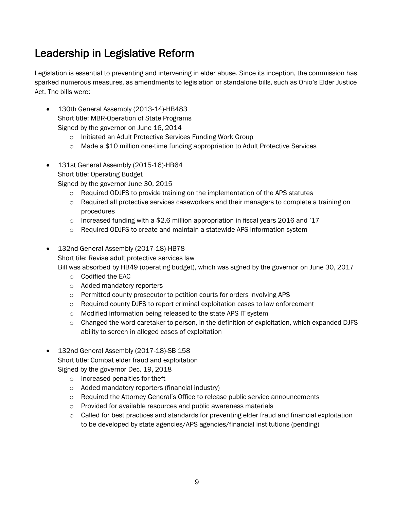### Leadership in Legislative Reform

Legislation is essential to preventing and intervening in elder abuse. Since its inception, the commission has sparked numerous measures, as amendments to legislation or standalone bills, such as Ohio's Elder Justice Act. The bills were:

- 130th General Assembly (2013-14)-HB483 Short title: MBR-Operation of State Programs Signed by the governor on June 16, 2014
	- o Initiated an Adult Protective Services Funding Work Group
	- $\circ$  Made a \$10 million one-time funding appropriation to Adult Protective Services
- 131st General Assembly (2015-16)-HB64 Short title: Operating Budget

Signed by the governor June 30, 2015

- $\circ$  Required ODJFS to provide training on the implementation of the APS statutes
- $\circ$  Required all protective services caseworkers and their managers to complete a training on procedures
- o Increased funding with a \$2.6 million appropriation in fiscal years 2016 and '17
- o Required ODJFS to create and maintain a statewide APS information system
- 132nd General Assembly (2017-18)-HB78

Short tile: Revise adult protective services law

Bill was absorbed by HB49 (operating budget), which was signed by the governor on June 30, 2017

- o Codified the EAC
- o Added mandatory reporters
- o Permitted county prosecutor to petition courts for orders involving APS
- o Required county DJFS to report criminal exploitation cases to law enforcement
- o Modified information being released to the state APS IT system
- o Changed the word caretaker to person, in the definition of exploitation, which expanded DJFS ability to screen in alleged cases of exploitation
- 132nd General Assembly (2017-18)-SB 158 Short title: Combat elder fraud and exploitation Signed by the governor Dec. 19, 2018
	-
	- o Increased penalties for theft
	- o Added mandatory reporters (financial industry)
	- o Required the Attorney General's Office to release public service announcements
	- o Provided for available resources and public awareness materials
	- $\circ$  Called for best practices and standards for preventing elder fraud and financial exploitation to be developed by state agencies/APS agencies/financial institutions (pending)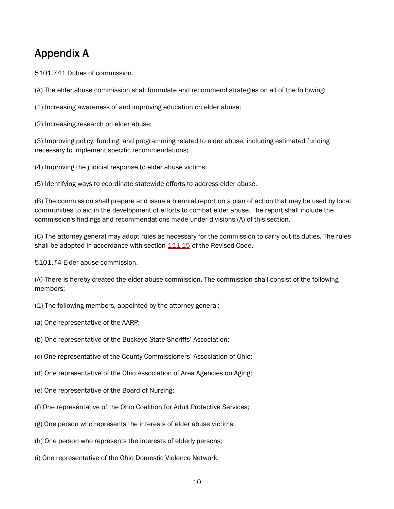### Appendix A

5101.741 Duties of commission.

(A) The elder abuse commission shall formulate and recommend strategies on all of the following:

(1) Increasing awareness of and improving education on elder abuse;

(2) Increasing research on elder abuse;

(3) Improving policy, funding, and programming related to elder abuse, including estimated funding necessary to implement specific recommendations;

(4) Improving the judicial response to elder abuse victims;

(5) Identifying ways to coordinate statewide efforts to address elder abuse.

(B) The commission shall prepare and issue a biennial report on a plan of action that may be used by local communities to aid in the development of efforts to combat elder abuse. The report shall include the commission's findings and recommendations made under divisions (A) of this section.

(C) The attorney general may adopt rules as necessary for the commission to carry out its duties. The rules shall be adopted in accordance with section [111.15](http://codes.ohio.gov/orc/111.15) of the Revised Code.

5101.74 Elder abuse commission.

(A) There is hereby created the elder abuse commission. The commission shall consist of the following members:

- (1) The following members, appointed by the attorney general:
- (a) One representative of the AARP;
- (b) One representative of the Buckeye State Sheriffs' Association;
- (c) One representative of the County Commissioners' Association of Ohio;
- (d) One representative of the Ohio Association of Area Agencies on Aging;
- (e) One representative of the Board of Nursing;
- (f) One representative of the Ohio Coalition for Adult Protective Services;
- (g) One person who represents the interests of elder abuse victims;
- (h) One person who represents the interests of elderly persons;
- (i) One representative of the Ohio Domestic Violence Network;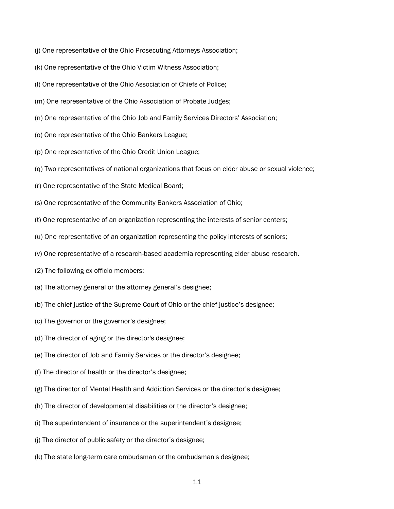- (j) One representative of the Ohio Prosecuting Attorneys Association;
- (k) One representative of the Ohio Victim Witness Association;
- (l) One representative of the Ohio Association of Chiefs of Police;
- (m) One representative of the Ohio Association of Probate Judges;
- (n) One representative of the Ohio Job and Family Services Directors' Association;
- (o) One representative of the Ohio Bankers League;
- (p) One representative of the Ohio Credit Union League;
- (q) Two representatives of national organizations that focus on elder abuse or sexual violence;
- (r) One representative of the State Medical Board;
- (s) One representative of the Community Bankers Association of Ohio;
- (t) One representative of an organization representing the interests of senior centers;
- (u) One representative of an organization representing the policy interests of seniors;
- (v) One representative of a research-based academia representing elder abuse research.
- (2) The following ex officio members:
- (a) The attorney general or the attorney general's designee;
- (b) The chief justice of the Supreme Court of Ohio or the chief justice's designee;
- (c) The governor or the governor's designee;
- (d) The director of aging or the director's designee;
- (e) The director of Job and Family Services or the director's designee;
- (f) The director of health or the director's designee;
- (g) The director of Mental Health and Addiction Services or the director's designee;
- (h) The director of developmental disabilities or the director's designee;
- (i) The superintendent of insurance or the superintendent's designee;
- (j) The director of public safety or the director's designee;
- (k) The state long-term care ombudsman or the ombudsman's designee;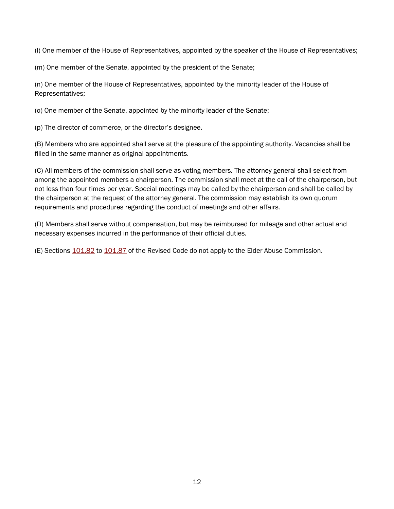(l) One member of the House of Representatives, appointed by the speaker of the House of Representatives;

(m) One member of the Senate, appointed by the president of the Senate;

(n) One member of the House of Representatives, appointed by the minority leader of the House of Representatives;

(o) One member of the Senate, appointed by the minority leader of the Senate;

(p) The director of commerce, or the director's designee.

(B) Members who are appointed shall serve at the pleasure of the appointing authority. Vacancies shall be filled in the same manner as original appointments.

(C) All members of the commission shall serve as voting members. The attorney general shall select from among the appointed members a chairperson. The commission shall meet at the call of the chairperson, but not less than four times per year. Special meetings may be called by the chairperson and shall be called by the chairperson at the request of the attorney general. The commission may establish its own quorum requirements and procedures regarding the conduct of meetings and other affairs.

(D) Members shall serve without compensation, but may be reimbursed for mileage and other actual and necessary expenses incurred in the performance of their official duties.

(E) Sections [101.82](http://codes.ohio.gov/orc/101.82) to [101.87](http://codes.ohio.gov/orc/101.87) of the Revised Code do not apply to the Elder Abuse Commission.